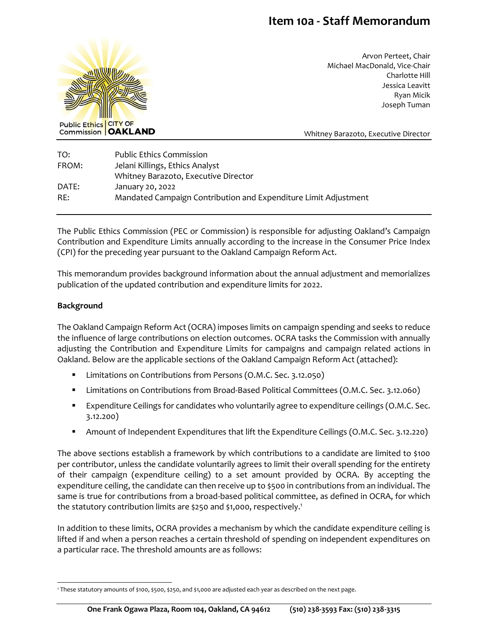# **Item 10a - Staff Memorandum**



Arvon Perteet, Chair Michael MacDonald, Vice-Chair Charlotte Hill Jessica Leavitt Ryan Micik Joseph Tuman

Whitney Barazoto, Executive Director

| TO:   | <b>Public Ethics Commission</b>                                 |
|-------|-----------------------------------------------------------------|
| FROM: | Jelani Killings, Ethics Analyst                                 |
|       | Whitney Barazoto, Executive Director                            |
| DATE: | January 20, 2022                                                |
| RE:   | Mandated Campaign Contribution and Expenditure Limit Adjustment |

The Public Ethics Commission (PEC or Commission) is responsible for adjusting Oakland's Campaign Contribution and Expenditure Limits annually according to the increase in the Consumer Price Index (CPI) for the preceding year pursuant to the Oakland Campaign Reform Act.

This memorandum provides background information about the annual adjustment and memorializes publication of the updated contribution and expenditure limits for 2022.

### **Background**

The Oakland Campaign Reform Act (OCRA) imposes limits on campaign spending and seeks to reduce the influence of large contributions on election outcomes. OCRA tasks the Commission with annually adjusting the Contribution and Expenditure Limits for campaigns and campaign related actions in Oakland. Below are the applicable sections of the Oakland Campaign Reform Act (attached):

- **E** Limitations on Contributions from Persons (O.M.C. Sec. 3.12.050)
- Limitations on Contributions from Broad-Based Political Committees (O.M.C. Sec. 3.12.060)
- Expenditure Ceilings for candidates who voluntarily agree to expenditure ceilings (O.M.C. Sec. 3.12.200)
- Amount of Independent Expenditures that lift the Expenditure Ceilings (O.M.C. Sec. 3.12.220)

The above sections establish a framework by which contributions to a candidate are limited to \$100 per contributor, unless the candidate voluntarily agrees to limit their overall spending for the entirety of their campaign (expenditure ceiling) to a set amount provided by OCRA. By accepting the expenditure ceiling, the candidate can then receive up to \$500 in contributions from an individual. The same is true for contributions from a broad-based political committee, as defined in OCRA, for which the statutory contribution limits are \$250 and \$1,000, respectively.<sup>1</sup>

In addition to these limits, OCRA provides a mechanism by which the candidate expenditure ceiling is lifted if and when a person reaches a certain threshold of spending on independent expenditures on a particular race. The threshold amounts are as follows:

<sup>1</sup> These statutory amounts of \$100, \$500, \$250, and \$1,000 are adjusted each year as described on the next page.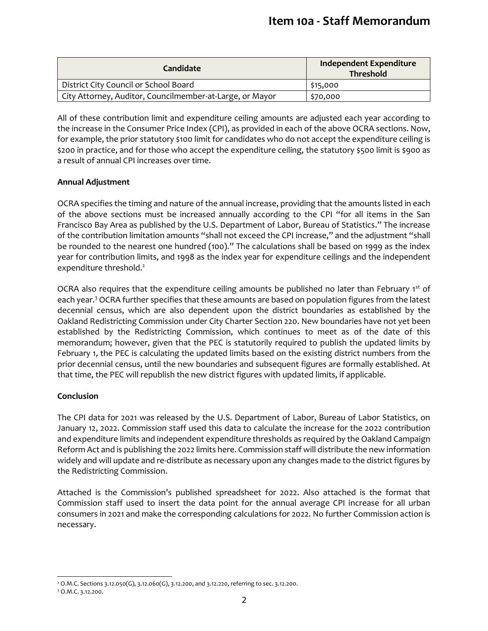| Candidate                                                | <b>Independent Expenditure</b><br><b>Threshold</b> |
|----------------------------------------------------------|----------------------------------------------------|
| District City Council or School Board                    | \$15,000                                           |
| City Attorney, Auditor, Councilmember-at-Large, or Mayor | \$70,000                                           |

All of these contribution limit and expenditure ceiling amounts are adjusted each year according to the increase in the Consumer Price Index (CPI), as provided in each of the above OCRA sections. Now, for example, the prior statutory \$100 limit for candidates who do not accept the expenditure ceiling is \$200 in practice, and for those who accept the expenditure ceiling, the statutory \$500 limit is \$900 as a result of annual CPI increases over time.

## **Annual Adjustment**

OCRA specifies the timing and nature of the annual increase, providing that the amounts listed in each of the above sections must be increased annually according to the CPI "for all items in the San Francisco Bay Area as published by the U.S. Department of Labor, Bureau of Statistics." The increase of the contribution limitation amounts "shall not exceed the CPI increase," and the adjustment "shall be rounded to the nearest one hundred (100)." The calculations shall be based on 1999 as the index year for contribution limits, and 1998 as the index year for expenditure ceilings and the independent expenditure threshold.<sup>2</sup>

OCRA also requires that the expenditure ceiling amounts be published no later than February 1st of each year.<sup>3</sup> OCRA further specifies that these amounts are based on population figures from the latest decennial census, which are also dependent upon the district boundaries as established by the Oakland Redistricting Commission under City Charter Section 220. New boundaries have not yet been established by the Redistricting Commission, which continues to meet as of the date of this memorandum; however, given that the PEC is statutorily required to publish the updated limits by February 1, the PEC is calculating the updated limits based on the existing district numbers from the prior decennial census, until the new boundaries and subsequent figures are formally established. At that time, the PEC will republish the new district figures with updated limits, if applicable.

### **Conclusion**

The CPI data for 2021 was released by the U.S. Department of Labor, Bureau of Labor Statistics, on January 12, 2022. Commission staff used this data to calculate the increase for the 2022 contribution and expenditure limits and independent expenditure thresholds as required by the Oakland Campaign Reform Act and is publishing the 2022 limits here. Commission staff will distribute the new information widely and will update and re-distribute as necessary upon any changes made to the district figures by the Redistricting Commission.

Attached is the Commission's published spreadsheet for 2022. Also attached is the format that Commission staff used to insert the data point for the annual average CPI increase for all urban consumers in 2021 and make the corresponding calculations for 2022. No further Commission action is necessary.

<sup>2</sup> O.M.C. Sections 3.12.050(G), 3.12.060(G), 3.12.200, and 3.12.220, referring to sec. 3.12.200.

<sup>3</sup> O.M.C. 3.12.200.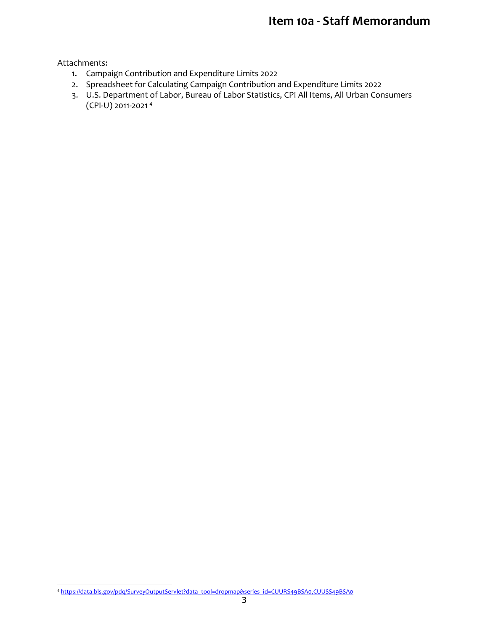# **Item 10a - Staff Memorandum**

Attachments:

- 1. Campaign Contribution and Expenditure Limits 2022
- 2. Spreadsheet for Calculating Campaign Contribution and Expenditure Limits 2022
- 3. U.S. Department of Labor, Bureau of Labor Statistics, CPI All Items, All Urban Consumers (CPI-U) 2011-2021 4

<sup>4</sup> [https://data.bls.gov/pdq/SurveyOutputServlet?data\\_tool=dropmap&series\\_id=CUURS49BSA0,CUUSS49BSA0](https://data.bls.gov/pdq/SurveyOutputServlet?data_tool=dropmap&series_id=CUURS49BSA0,CUUSS49BSA0)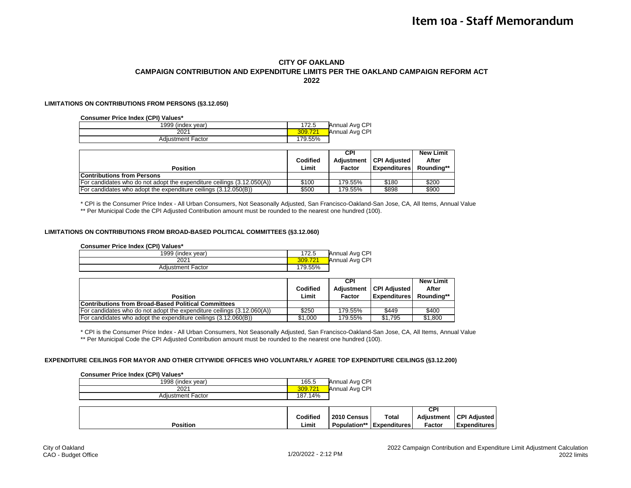#### **CITY OF OAKLAND CAMPAIGN CONTRIBUTION AND EXPENDITURE LIMITS PER THE OAKLAND CAMPAIGN REFORM ACT 2022**

#### **LIMITATIONS ON CONTRIBUTIONS FROM PERSONS (§3.12.050)**

#### **Consumer Price Index (CPI) Values\***

| 1999 (index year)        | 172.5   | Annual Avg CPI |
|--------------------------|---------|----------------|
| 2021                     | 309.721 | Annual Avg CPI |
| <b>Adiustment Factor</b> | 179.55% |                |

|                                                                        |          | CPI        |                     | <b>New Limit</b> |
|------------------------------------------------------------------------|----------|------------|---------------------|------------------|
|                                                                        | Codified | Adiustment | <b>CPI Adiusted</b> | After            |
| <b>Position</b>                                                        | Limit    | Factor     | <b>Expenditures</b> | Roundina**       |
| <b>Contributions from Persons</b>                                      |          |            |                     |                  |
| For candidates who do not adopt the expenditure ceilings (3.12.050(A)) | \$100    | 179.55%    | \$180               | \$200            |
| For candidates who adopt the expenditure ceilings (3.12.050(B))        | \$500    | 179.55%    | \$898               | \$900            |

\* CPI is the Consumer Price Index - All Urban Consumers, Not Seasonally Adjusted, San Francisco-Oakland-San Jose, CA, All Items, Annual Value \*\* Per Municipal Code the CPI Adjusted Contribution amount must be rounded to the nearest one hundred (100).

#### **LIMITATIONS ON CONTRIBUTIONS FROM BROAD-BASED POLITICAL COMMITTEES (§3.12.060)**

#### **Consumer Price Index (CPI) Values\***

| 1999 (index year)        | 172.5   | Annual Avg CPI |
|--------------------------|---------|----------------|
| 2021                     | 309.72' | Annual Avg CPI |
| <b>Adiustment Factor</b> | 179.55% |                |

|                                                                        |          | <b>CPI</b> |                           | New Limit  |
|------------------------------------------------------------------------|----------|------------|---------------------------|------------|
|                                                                        | Codified |            | Adiustment   CPI Adiusted | After      |
| <b>Position</b>                                                        | Limit    | Factor     | <b>Expenditures</b>       | Roundina** |
| <b>Contributions from Broad-Based Political Committees</b>             |          |            |                           |            |
| For candidates who do not adopt the expenditure ceilings (3.12.060(A)) | \$250    | 179.55%    | \$449                     | \$400      |
| For candidates who adopt the expenditure ceilings (3.12.060(B))        | \$1.000  | 179.55%    | \$1.795                   | \$1,800    |

\* CPI is the Consumer Price Index - All Urban Consumers, Not Seasonally Adjusted, San Francisco-Oakland-San Jose, CA, All Items, Annual Value \*\* Per Municipal Code the CPI Adjusted Contribution amount must be rounded to the nearest one hundred (100).

#### **EXPENDITURE CEILINGS FOR MAYOR AND OTHER CITYWIDE OFFICES WHO VOLUNTARILY AGREE TOP EXPENDITURE CEILINGS (§3.12.200)**

#### **Consumer Price Index (CPI) Values\***

| 1998 (index year)        | 165.5   | Annual Avg CPI |
|--------------------------|---------|----------------|
| 2021                     | 309.721 | Annual Avg CPI |
| <b>Adiustment Factor</b> | 187.14% |                |

|          |                 |             |                                  | CPI        |                        |
|----------|-----------------|-------------|----------------------------------|------------|------------------------|
|          | <b>Codified</b> | 2010 Census | Total                            | Adiustment | <b>CPI</b><br>Adiusted |
| Position | Limit           |             | <b>Population**</b> Expenditures | Factor     | <b>Expenditures</b>    |